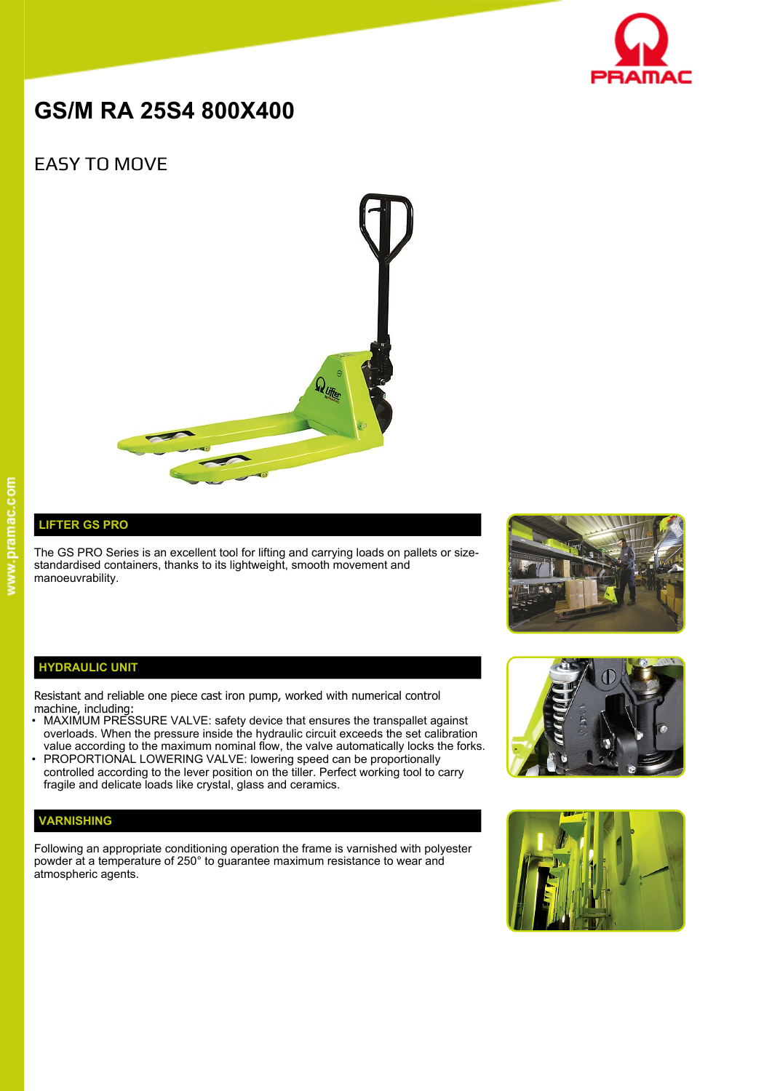

# **GS/M RA 25S4 800X400**

## EASY TO MOVE



### **LIFTER GS PRO**

The GS PRO Series is an excellent tool for lifting and carrying loads on pallets or sizestandardised containers, thanks to its lightweight, smooth movement and manoeuvrability.



#### **HYDRAULIC UNIT**

Resistant and reliable one piece cast iron pump, worked with numerical control machine, including:

- MAXIMUM PRESSURE VALVE: safety device that ensures the transpallet against overloads. When the pressure inside the hydraulic circuit exceeds the set calibration value according to the maximum nominal flow, the valve automatically locks the forks.
- PROPORTIONAL LOWERING VALVE: lowering speed can be proportionally controlled according to the lever position on the tiller. Perfect working tool to carry fragile and delicate loads like crystal, glass and ceramics.

#### **VARNISHING**

Following an appropriate conditioning operation the frame is varnished with polyester powder at a temperature of 250° to guarantee maximum resistance to wear and atmospheric agents.



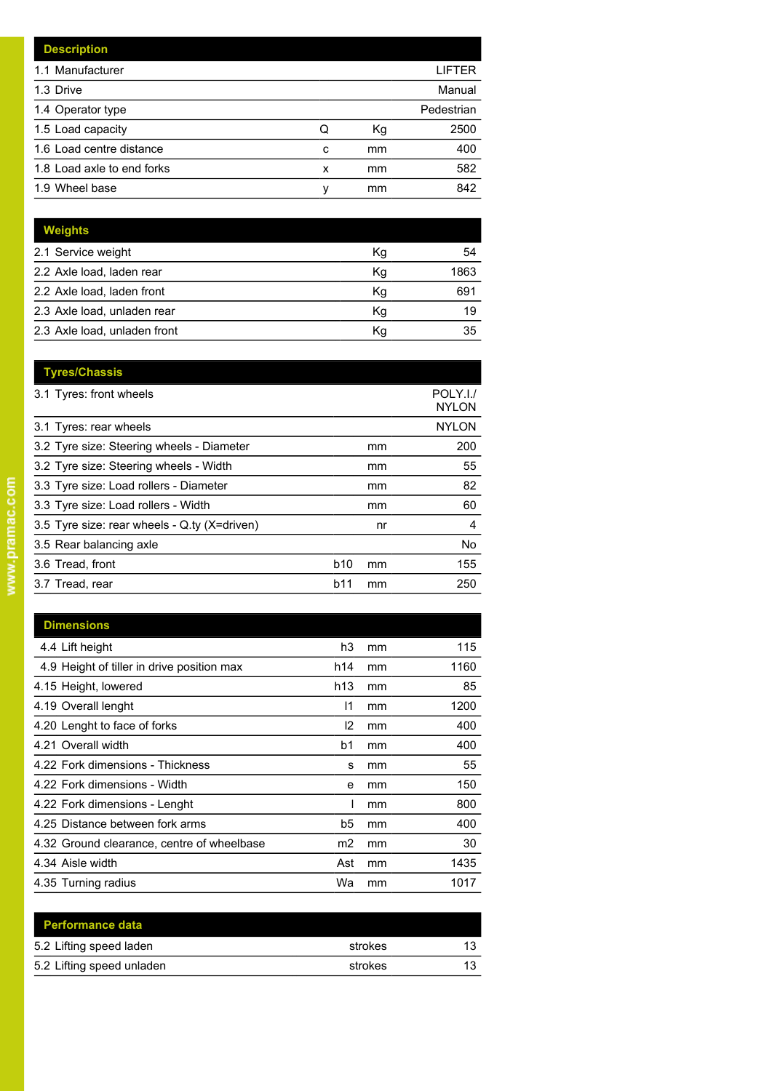|   |    | LIFTER     |
|---|----|------------|
|   |    | Manual     |
|   |    | Pedestrian |
| Q | Кg | 2500       |
| c | mm | 400        |
| x | mm | 582        |
| ν | mm | 842        |
|   |    |            |

| <b>Weights</b>               |    |      |
|------------------------------|----|------|
| 2.1 Service weight           | Κq | 54   |
| 2.2 Axle load, laden rear    | Kg | 1863 |
| 2.2 Axle load, laden front   | Kg | 691  |
| 2.3 Axle load, unladen rear  | Kg | 19   |
| 2.3 Axle load, unladen front | Κq | 35   |

|     |    | POLY.I./<br><b>NYLON</b> |
|-----|----|--------------------------|
|     |    | <b>NYLON</b>             |
|     | mm | 200                      |
|     | mm | 55                       |
|     | mm | 82                       |
|     | mm | 60                       |
|     | nr | 4                        |
|     |    | No                       |
| b10 | mm | 155                      |
| b11 | mm | 250                      |
|     |    |                          |

| <b>Dimensions</b>                          |                |    |      |
|--------------------------------------------|----------------|----|------|
| 4.4 Lift height                            | h3             | mm | 115  |
| 4.9 Height of tiller in drive position max | h14            | mm | 1160 |
| 4.15 Height, lowered                       | h13            | mm | 85   |
| 4.19 Overall lenght                        | 11             | mm | 1200 |
| 4.20 Lenght to face of forks               | 12             | mm | 400  |
| 4.21 Overall width                         | b1             | mm | 400  |
| 4.22 Fork dimensions - Thickness           | s              | mm | 55   |
| 4.22 Fork dimensions - Width               | e              | mm | 150  |
| 4.22 Fork dimensions - Lenght              |                | mm | 800  |
| 4.25 Distance between fork arms            | b5             | mm | 400  |
| 4.32 Ground clearance, centre of wheelbase | m <sub>2</sub> | mm | 30   |
| 4.34 Aisle width                           | Ast            | mm | 1435 |
| 4.35 Turning radius                        | Wa             | mm | 1017 |

| strokes | 13 |
|---------|----|
| strokes |    |
|         |    |